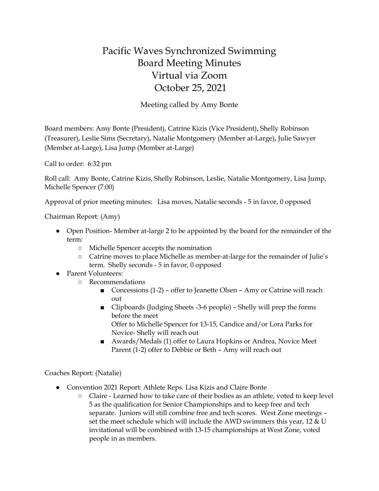## Pacific Waves Synchronized Swimming Board Meeting Minutes Virtual via Zoom October 25, 2021

Meeting called by Amy Bonte

Board members: Amy Bonte (President), Catrine Kizis (Vice President), Shelly Robinson (Treasurer), Leslie Sims (Secretary), Natalie Montgomery (Member at-Large), Julie Sawyer (Member at-Large), Lisa Jump (Member at-Large)

Call to order: 6:32 pm

Roll call: Amy Bonte, Catrine Kizis, Shelly Robinson, Leslie, Natalie Montgomery, Lisa Jump, Michelle Spencer (7:00)

Approval of prior meeting minutes: Lisa moves, Natalie seconds - 5 in favor, 0 opposed

Chairman Report: (Amy)

- Open Position-Member at-large 2 to be appointed by the board for the remainder of the term:
	- Michelle Spencer accepts the nomination
	- Catrine moves to place Michelle as member-at-large for the remainder of Julie's term. Shelly seconds - 5 in favor, 0 opposed
- Parent Volunteers:
	- Recommendations
		- Concessions (1-2) offer to Jeanette Olsen Amy or Catrine will reach out
		- Clipboards (Judging Sheets -3-6 people) Shelly will prep the forms before the meet Offer to Michelle Spencer for 13-15, Candice and/or Lora Parks for
			- Novice- Shelly will reach out
		- Awards/Medals (1) offer to Laura Hopkins or Andrea, Novice Meet Parent (1-2) offer to Debbie or Beth – Amy will reach out

Coaches Report: (Natalie)

- Convention 2021 Report: Athlete Reps. Lisa Kizis and Claire Bonte
	- Claire Learned how to take care of their bodies as an athlete, voted to keep level 5 as the qualification for Senior Championships and to keep free and tech separate. Juniors will still combine free and tech scores. West Zone meetings – set the meet schedule which will include the AWD swimmers this year, 12 & U invitational will be combined with 13-15 championships at West Zone, voted people in as members.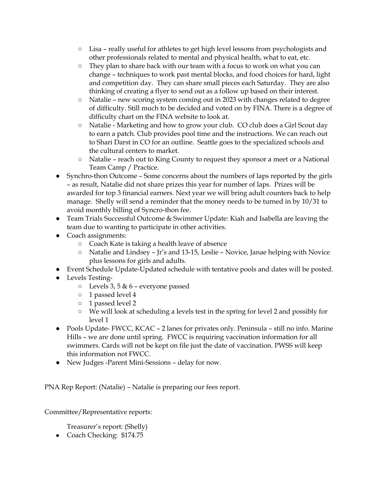- Lisa really useful for athletes to get high level lessons from psychologists and other professionals related to mental and physical health, what to eat, etc.
- They plan to share back with our team with a focus to work on what you can change – techniques to work past mental blocks, and food choices for hard, light and competition day. They can share small pieces each Saturday. They are also thinking of creating a flyer to send out as a follow up based on their interest.
- Natalie new scoring system coming out in 2023 with changes related to degree of difficulty. Still much to be decided and voted on by FINA. There is a degree of difficulty chart on the FINA website to look at.
- Natalie Marketing and how to grow your club. CO club does a Girl Scout day to earn a patch. Club provides pool time and the instructions. We can reach out to Shari Darst in CO for an outline. Seattle goes to the specialized schools and the cultural centers to market.
- Natalie reach out to King County to request they sponsor a meet or a National Team Camp / Practice.
- Synchro-thon Outcome Some concerns about the numbers of laps reported by the girls – as result, Natalie did not share prizes this year for number of laps. Prizes will be awarded for top 3 financial earners. Next year we will bring adult counters back to help manage. Shelly will send a reminder that the money needs to be turned in by 10/31 to avoid monthly billing of Syncro-thon fee.
- Team Trials Successful Outcome & Swimmer Update: Kiah and Isabella are leaving the team due to wanting to participate in other activities.
- Coach assignments:
	- Coach Kate is taking a health leave of absence
	- Natalie and Lindsey Jr's and 13-15, Leslie Novice, Janae helping with Novice plus lessons for girls and adults.
- Event Schedule Update-Updated schedule with tentative pools and dates will be posted.
- Levels Testing-
	- $\circ$  Levels 3, 5 & 6 everyone passed
	- 1 passed level 4
	- 1 passed level 2
	- We will look at scheduling a levels test in the spring for level 2 and possibly for level 1
- Pools Update- FWCC, KCAC 2 lanes for privates only. Peninsula still no info. Marine Hills – we are done until spring. FWCC is requiring vaccination information for all swimmers. Cards will not be kept on file just the date of vaccination. PWSS will keep this information not FWCC.
- New Judges -Parent Mini-Sessions delay for now.

PNA Rep Report: (Natalie) – Natalie is preparing our fees report.

Committee/Representative reports:

Treasurer's report: (Shelly)

• Coach Checking: \$174.75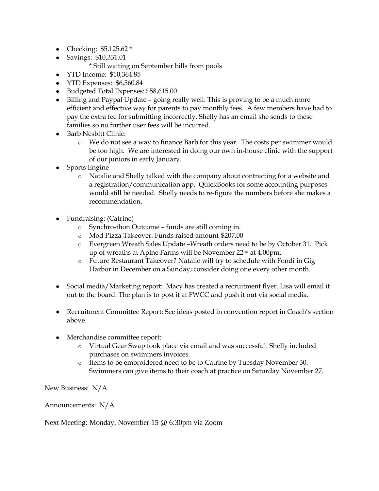- Checking: \$5,125.62 \*
- Savings: \$10,331.01
	- \* Still waiting on September bills from pools
- YTD Income: \$10,364.85
- YTD Expenses: \$6,560.84
- Budgeted Total Expenses: \$58,615.00
- Billing and Paypal Update going really well. This is proving to be a much more efficient and effective way for parents to pay monthly fees. A few members have had to pay the extra fee for submitting incorrectly. Shelly has an email she sends to these families so no further user fees will be incurred.
- Barb Nesbitt Clinic:
	- o We do not see a way to finance Barb for this year. The costs per swimmer would be too high. We are interested in doing our own in-house clinic with the support of our juniors in early January.
- Sports Engine
	- o Natalie and Shelly talked with the company about contracting for a website and a registration/communication app. QuickBooks for some accounting purposes would still be needed. Shelly needs to re-figure the numbers before she makes a recommendation.
- Fundraising: (Catrine)
	- o Synchro-thon Outcome funds are still coming in.
	- o Mod Pizza Takeover: Funds raised amount-\$207.00
	- o Evergreen Wreath Sales Update –Wreath orders need to be by October 31. Pick up of wreaths at Apine Farms will be November 22nd at 4:00pm.
	- o Future Restaurant Takeover? Natalie will try to schedule with Fondi in Gig Harbor in December on a Sunday; consider doing one every other month.
- Social media/Marketing report: Macy has created a recruitment flyer. Lisa will email it out to the board. The plan is to post it at FWCC and push it out via social media.
- Recruitment Committee Report: See ideas posted in convention report in Coach's section above.
- Merchandise committee report:
	- o Virtual Gear Swap took place via email and was successful. Shelly included purchases on swimmers invoices.
	- o Items to be embroidered need to be to Catrine by Tuesday November 30. Swimmers can give items to their coach at practice on Saturday November 27.

New Business: N/A

Announcements: N/A

Next Meeting: Monday, November 15 @ 6:30pm via Zoom